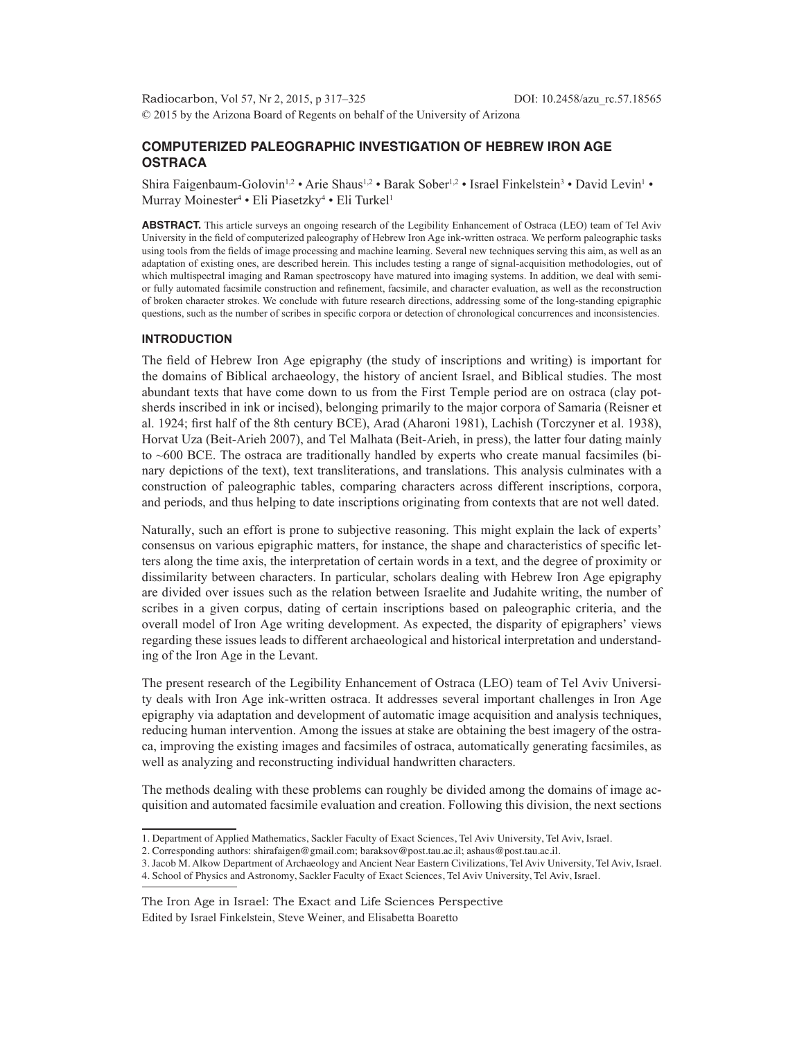Radiocarbon, Vol 57, Nr 2, 2015, p 317–[325](#page-8-0) DOI: 10.2458/azu\_rc.57.18565

© 2015 by the Arizona Board of Regents on behalf of the University of Arizona

# **COMPUTERIZED PALEOGRAPHIC INVESTIGATION OF HEBREW IRON AGE OSTRACA**

Shira Faigenbaum-Golovin<sup>1,2</sup> • Arie Shaus<sup>1,2</sup> • Barak Sober<sup>1,2</sup> • Israel Finkelstein<sup>3</sup> • David Levin<sup>1</sup> • Murray Moinester<sup>4</sup> • Eli Piasetzky<sup>4</sup> • Eli Turkel<sup>1</sup>

**ABSTRACT.** This article surveys an ongoing research of the Legibility Enhancement of Ostraca (LEO) team of Tel Aviv University in the field of computerized paleography of Hebrew Iron Age ink-written ostraca. We perform paleographic tasks using tools from the fields of image processing and machine learning. Several new techniques serving this aim, as well as an adaptation of existing ones, are described herein. This includes testing a range of signal-acquisition methodologies, out of which multispectral imaging and Raman spectroscopy have matured into imaging systems. In addition, we deal with semior fully automated facsimile construction and refinement, facsimile, and character evaluation, as well as the reconstruction of broken character strokes. We conclude with future research directions, addressing some of the long-standing epigraphic questions, such as the number of scribes in specific corpora or detection of chronological concurrences and inconsistencies.

### **INTRODUCTION**

The field of Hebrew Iron Age epigraphy (the study of inscriptions and writing) is important for the domains of Biblical archaeology, the history of ancient Israel, and Biblical studies. The most abundant texts that have come down to us from the First Temple period are on ostraca (clay potsherds inscribed in ink or incised), belonging primarily to the major corpora of Samaria (Reisner et al. 1924; first half of the 8th century BCE), Arad (Aharoni 1981), Lachish (Torczyner et al. 1938), Horvat Uza (Beit-Arieh 2007), and Tel Malhata (Beit-Arieh, in press), the latter four dating mainly to ~600 BCE. The ostraca are traditionally handled by experts who create manual facsimiles (binary depictions of the text), text transliterations, and translations. This analysis culminates with a construction of paleographic tables, comparing characters across different inscriptions, corpora, and periods, and thus helping to date inscriptions originating from contexts that are not well dated.

Naturally, such an effort is prone to subjective reasoning. This might explain the lack of experts' consensus on various epigraphic matters, for instance, the shape and characteristics of specific letters along the time axis, the interpretation of certain words in a text, and the degree of proximity or dissimilarity between characters. In particular, scholars dealing with Hebrew Iron Age epigraphy are divided over issues such as the relation between Israelite and Judahite writing, the number of scribes in a given corpus, dating of certain inscriptions based on paleographic criteria, and the overall model of Iron Age writing development. As expected, the disparity of epigraphers' views regarding these issues leads to different archaeological and historical interpretation and understanding of the Iron Age in the Levant.

The present research of the Legibility Enhancement of Ostraca (LEO) team of Tel Aviv University deals with Iron Age ink-written ostraca. It addresses several important challenges in Iron Age epigraphy via adaptation and development of automatic image acquisition and analysis techniques, reducing human intervention. Among the issues at stake are obtaining the best imagery of the ostraca, improving the existing images and facsimiles of ostraca, automatically generating facsimiles, as well as analyzing and reconstructing individual handwritten characters.

The methods dealing with these problems can roughly be divided among the domains of image acquisition and automated facsimile evaluation and creation. Following this division, the next sections

The Iron Age in Israel: The Exact and Life Sciences Perspective Edited by Israel Finkelstein, Steve Weiner, and Elisabetta Boaretto

<sup>1.</sup> Department of Applied Mathematics, Sackler Faculty of Exact Sciences, Tel Aviv University, Tel Aviv, Israel.

<sup>2.</sup> Corresponding authors: shirafaigen@gmail.com; baraksov@post.tau.ac.il; ashaus@post.tau.ac.il.

<sup>3.</sup> Jacob M. Alkow Department of Archaeology and Ancient Near Eastern Civilizations, Tel Aviv University, Tel Aviv, Israel.

<sup>4.</sup> School of Physics and Astronomy, Sackler Faculty of Exact Sciences, Tel Aviv University, Tel Aviv, Israel.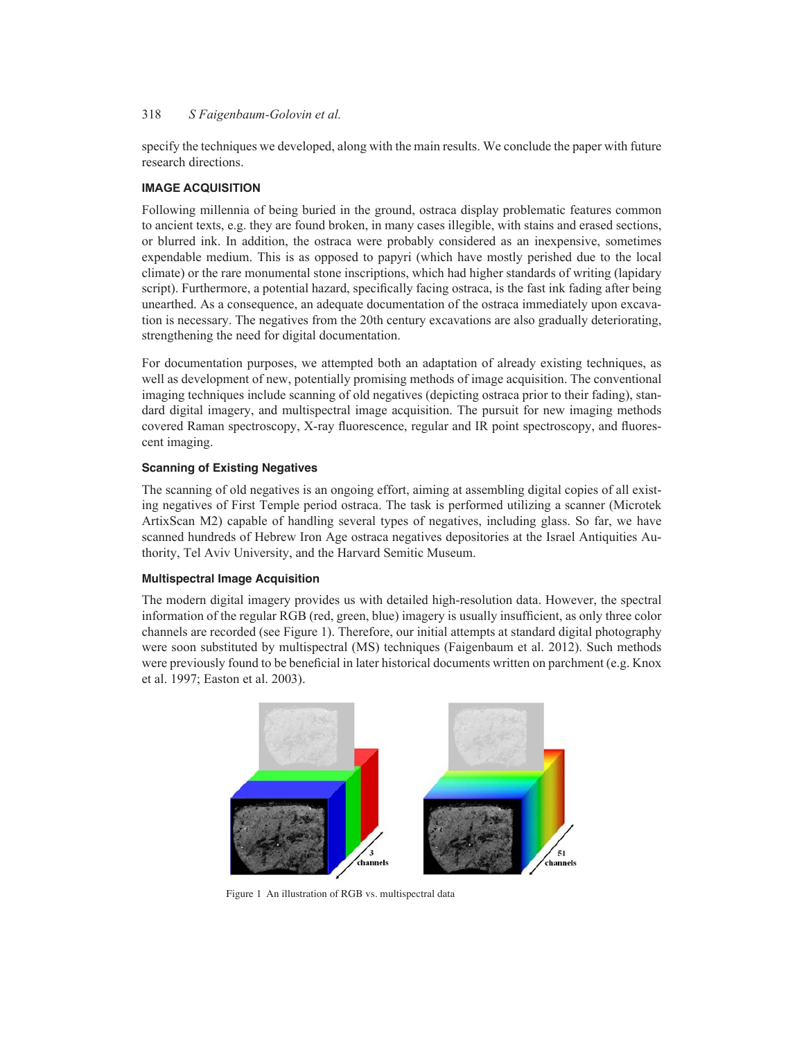specify the techniques we developed, along with the main results. We conclude the paper with future research directions.

# **IMAGE ACQUISITION**

Following millennia of being buried in the ground, ostraca display problematic features common to ancient texts, e.g. they are found broken, in many cases illegible, with stains and erased sections, or blurred ink. In addition, the ostraca were probably considered as an inexpensive, sometimes expendable medium. This is as opposed to papyri (which have mostly perished due to the local climate) or the rare monumental stone inscriptions, which had higher standards of writing (lapidary script). Furthermore, a potential hazard, specifically facing ostraca, is the fast ink fading after being unearthed. As a consequence, an adequate documentation of the ostraca immediately upon excavation is necessary. The negatives from the 20th century excavations are also gradually deteriorating, strengthening the need for digital documentation.

For documentation purposes, we attempted both an adaptation of already existing techniques, as well as development of new, potentially promising methods of image acquisition. The conventional imaging techniques include scanning of old negatives (depicting ostraca prior to their fading), standard digital imagery, and multispectral image acquisition. The pursuit for new imaging methods covered Raman spectroscopy, X-ray fluorescence, regular and IR point spectroscopy, and fluorescent imaging.

## **Scanning of Existing Negatives**

The scanning of old negatives is an ongoing effort, aiming at assembling digital copies of all existing negatives of First Temple period ostraca. The task is performed utilizing a scanner (Microtek ArtixScan M2) capable of handling several types of negatives, including glass. So far, we have scanned hundreds of Hebrew Iron Age ostraca negatives depositories at the Israel Antiquities Authority, Tel Aviv University, and the Harvard Semitic Museum.

## **Multispectral Image Acquisition**

The modern digital imagery provides us with detailed high-resolution data. However, the spectral information of the regular RGB (red, green, blue) imagery is usually insufficient, as only three color channels are recorded (see Figure 1). Therefore, our initial attempts at standard digital photography were soon substituted by multispectral (MS) techniques (Faigenbaum et al. 2012). Such methods were previously found to be beneficial in later historical documents written on parchment (e.g. Knox et al. 1997; Easton et al. 2003).



Figure 1 An illustration of RGB vs. multispectral data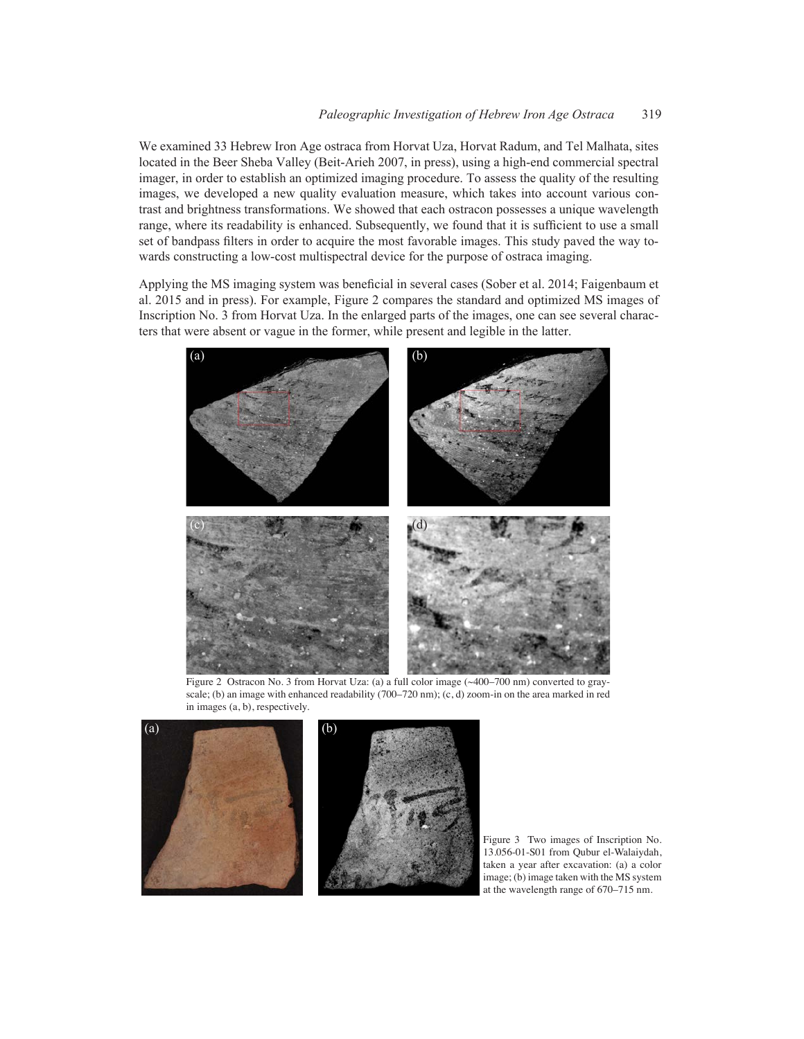We examined 33 Hebrew Iron Age ostraca from Horvat Uza, Horvat Radum, and Tel Malhata, sites located in the Beer Sheba Valley (Beit-Arieh 2007, in press), using a high-end commercial spectral imager, in order to establish an optimized imaging procedure. To assess the quality of the resulting images, we developed a new quality evaluation measure, which takes into account various contrast and brightness transformations. We showed that each ostracon possesses a unique wavelength range, where its readability is enhanced. Subsequently, we found that it is sufficient to use a small set of bandpass filters in order to acquire the most favorable images. This study paved the way towards constructing a low-cost multispectral device for the purpose of ostraca imaging.

Applying the MS imaging system was beneficial in several cases (Sober et al. 2014; Faigenbaum et al. 2015 and in press). For example, Figure 2 compares the standard and optimized MS images of Inscription No. 3 from Horvat Uza. In the enlarged parts of the images, one can see several characters that were absent or vague in the former, while present and legible in the latter.



Figure 2 Ostracon No. 3 from Horvat Uza: (a) a full color image (~400–700 nm) converted to grayscale; (b) an image with enhanced readability (700–720 nm); (c, d) zoom-in on the area marked in red in images (a, b), respectively.



Figure 3 Two images of Inscription No. 13.056-01-S01 from Qubur el-Walaiydah, taken a year after excavation: (a) a color image; (b) image taken with the MS system at the wavelength range of 670–715 nm.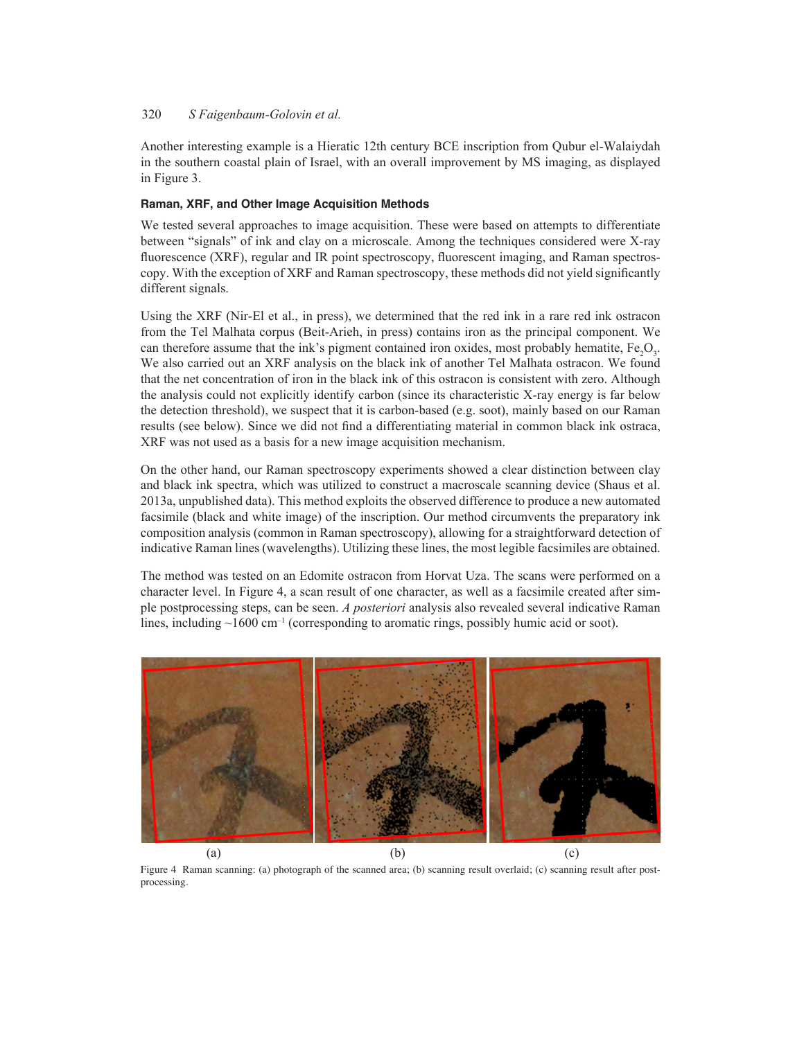Another interesting example is a Hieratic 12th century BCE inscription from Qubur el-Walaiydah in the southern coastal plain of Israel, with an overall improvement by MS imaging, as displayed in Figure 3.

#### **Raman, XRF, and Other Image Acquisition Methods**

We tested several approaches to image acquisition. These were based on attempts to differentiate between "signals" of ink and clay on a microscale. Among the techniques considered were X-ray fluorescence (XRF), regular and IR point spectroscopy, fluorescent imaging, and Raman spectroscopy. With the exception of XRF and Raman spectroscopy, these methods did not yield significantly different signals.

Using the XRF (Nir-El et al., in press), we determined that the red ink in a rare red ink ostracon from the Tel Malhata corpus (Beit-Arieh, in press) contains iron as the principal component. We can therefore assume that the ink's pigment contained iron oxides, most probably hematite,  $Fe<sub>2</sub>O<sub>3</sub>$ . We also carried out an XRF analysis on the black ink of another Tel Malhata ostracon. We found that the net concentration of iron in the black ink of this ostracon is consistent with zero. Although the analysis could not explicitly identify carbon (since its characteristic X-ray energy is far below the detection threshold), we suspect that it is carbon-based (e.g. soot), mainly based on our Raman results (see below). Since we did not find a differentiating material in common black ink ostraca, XRF was not used as a basis for a new image acquisition mechanism.

On the other hand, our Raman spectroscopy experiments showed a clear distinction between clay and black ink spectra, which was utilized to construct a macroscale scanning device (Shaus et al. 2013a, unpublished data). This method exploits the observed difference to produce a new automated facsimile (black and white image) of the inscription. Our method circumvents the preparatory ink composition analysis (common in Raman spectroscopy), allowing for a straightforward detection of indicative Raman lines (wavelengths). Utilizing these lines, the most legible facsimiles are obtained.

The method was tested on an Edomite ostracon from Horvat Uza. The scans were performed on a character level. In Figure 4, a scan result of one character, as well as a facsimile created after simple postprocessing steps, can be seen. *A posteriori* analysis also revealed several indicative Raman lines, including  $\sim1600$  cm<sup>-1</sup> (corresponding to aromatic rings, possibly humic acid or soot).



Figure 4 Raman scanning: (a) photograph of the scanned area; (b) scanning result overlaid; (c) scanning result after postprocessing.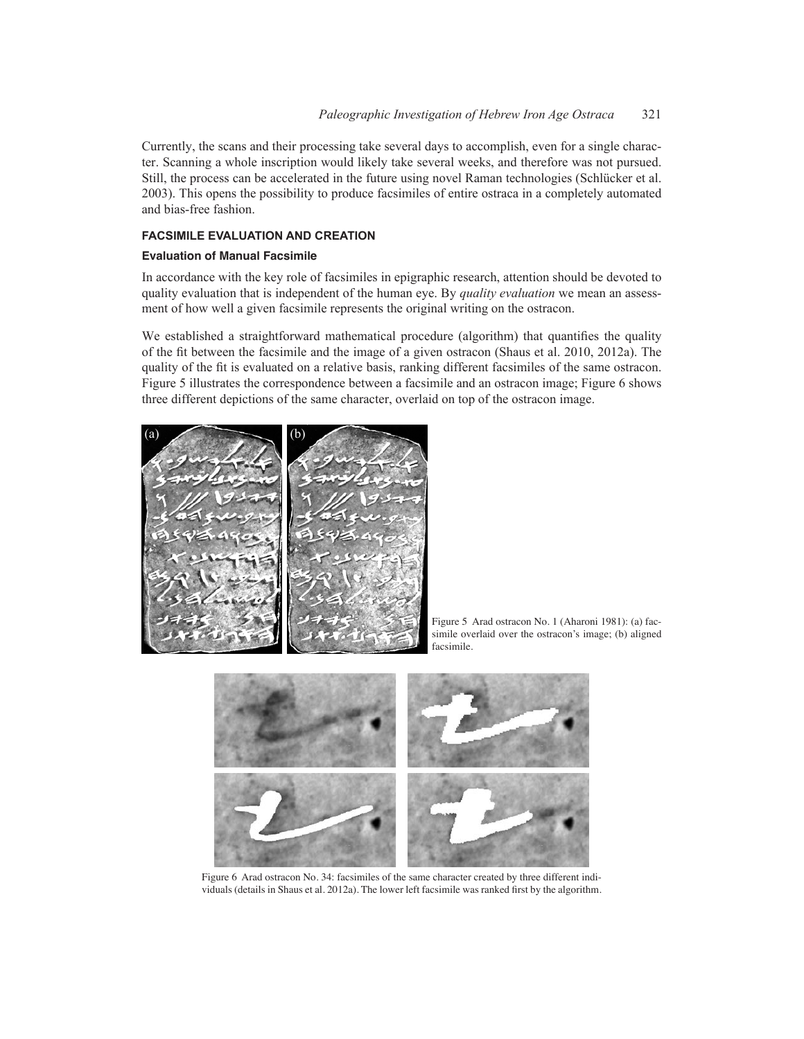Currently, the scans and their processing take several days to accomplish, even for a single character. Scanning a whole inscription would likely take several weeks, and therefore was not pursued. Still, the process can be accelerated in the future using novel Raman technologies (Schlücker et al. 2003). This opens the possibility to produce facsimiles of entire ostraca in a completely automated and bias-free fashion.

#### **FACSIMILE EVALUATION AND CREATION**

#### **Evaluation of Manual Facsimile**

In accordance with the key role of facsimiles in epigraphic research, attention should be devoted to quality evaluation that is independent of the human eye. By *quality evaluation* we mean an assessment of how well a given facsimile represents the original writing on the ostracon.

We established a straightforward mathematical procedure (algorithm) that quantifies the quality of the fit between the facsimile and the image of a given ostracon (Shaus et al. 2010, 2012a). The quality of the fit is evaluated on a relative basis, ranking different facsimiles of the same ostracon. Figure 5 illustrates the correspondence between a facsimile and an ostracon image; Figure 6 shows three different depictions of the same character, overlaid on top of the ostracon image.



Figure 5 Arad ostracon No. 1 (Aharoni 1981): (a) facsimile overlaid over the ostracon's image; (b) aligned facsimile.



Figure 6 Arad ostracon No. 34: facsimiles of the same character created by three different individuals (details in Shaus et al. 2012a). The lower left facsimile was ranked first by the algorithm.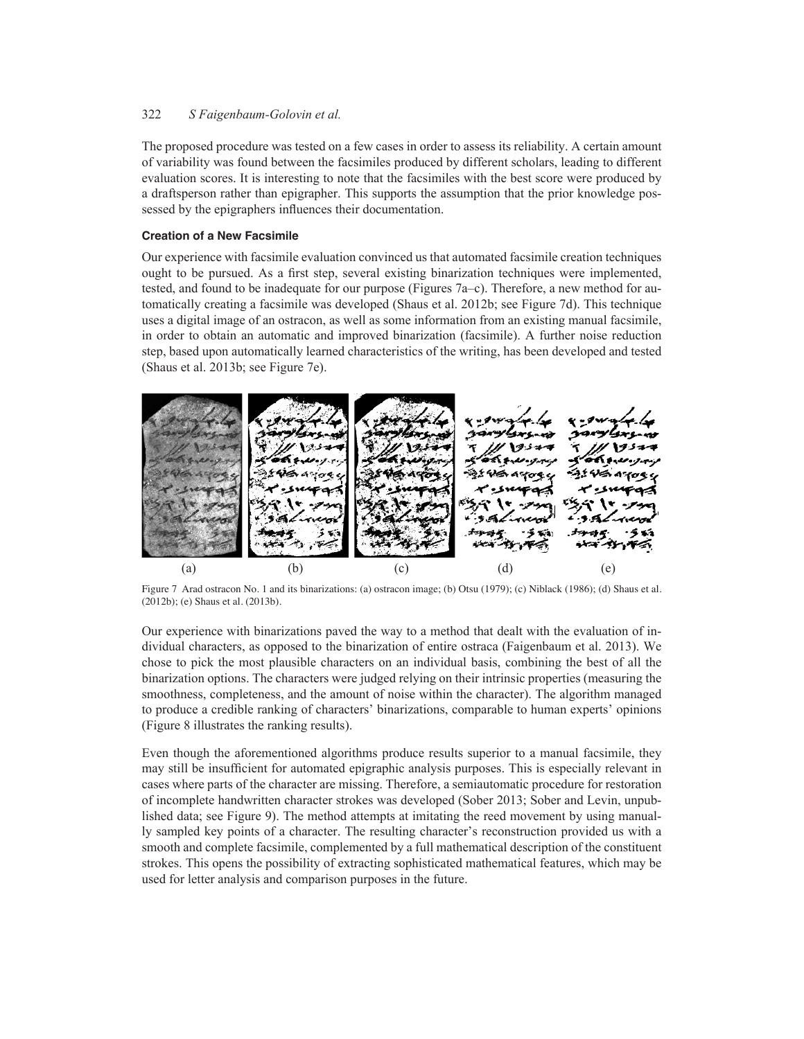The proposed procedure was tested on a few cases in order to assess its reliability. A certain amount of variability was found between the facsimiles produced by different scholars, leading to different evaluation scores. It is interesting to note that the facsimiles with the best score were produced by a draftsperson rather than epigrapher. This supports the assumption that the prior knowledge possessed by the epigraphers influences their documentation.

#### **Creation of a New Facsimile**

Our experience with facsimile evaluation convinced us that automated facsimile creation techniques ought to be pursued. As a first step, several existing binarization techniques were implemented, tested, and found to be inadequate for our purpose (Figures 7a–c). Therefore, a new method for automatically creating a facsimile was developed (Shaus et al. 2012b; see Figure 7d). This technique uses a digital image of an ostracon, as well as some information from an existing manual facsimile, in order to obtain an automatic and improved binarization (facsimile). A further noise reduction step, based upon automatically learned characteristics of the writing, has been developed and tested (Shaus et al. 2013b; see Figure 7e).



Figure 7 Arad ostracon No. 1 and its binarizations: (a) ostracon image; (b) Otsu (1979); (c) Niblack (1986); (d) Shaus et al. (2012b); (e) Shaus et al. (2013b).

Our experience with binarizations paved the way to a method that dealt with the evaluation of individual characters, as opposed to the binarization of entire ostraca (Faigenbaum et al. 2013). We chose to pick the most plausible characters on an individual basis, combining the best of all the binarization options. The characters were judged relying on their intrinsic properties (measuring the smoothness, completeness, and the amount of noise within the character). The algorithm managed to produce a credible ranking of characters' binarizations, comparable to human experts' opinions (Figure 8 illustrates the ranking results).

Even though the aforementioned algorithms produce results superior to a manual facsimile, they may still be insufficient for automated epigraphic analysis purposes. This is especially relevant in cases where parts of the character are missing. Therefore, a semiautomatic procedure for restoration of incomplete handwritten character strokes was developed (Sober 2013; Sober and Levin, unpublished data; see Figure 9). The method attempts at imitating the reed movement by using manually sampled key points of a character. The resulting character's reconstruction provided us with a smooth and complete facsimile, complemented by a full mathematical description of the constituent strokes. This opens the possibility of extracting sophisticated mathematical features, which may be used for letter analysis and comparison purposes in the future.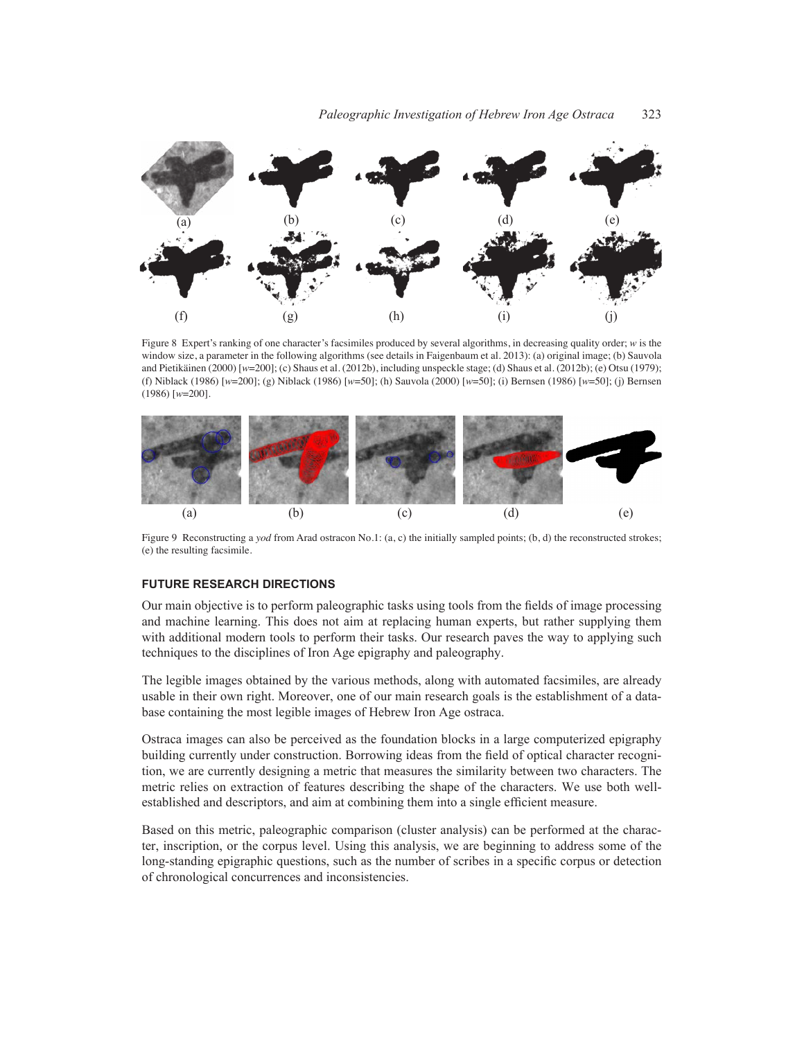

Figure 8 Expert's ranking of one character's facsimiles produced by several algorithms, in decreasing quality order; *w* is the window size, a parameter in the following algorithms (see details in Faigenbaum et al. 2013): (a) original image; (b) Sauvola and Pietikäinen (2000) [*w*=200]; (c) Shaus et al. (2012b), including unspeckle stage; (d) Shaus et al. (2012b); (e) Otsu (1979); (f) Niblack (1986) [*w*=200]; (g) Niblack (1986) [*w*=50]; (h) Sauvola (2000) [*w*=50]; (i) Bernsen (1986) [*w*=50]; (j) Bernsen (1986) [*w*=200].



Figure 9 Reconstructing a *yod* from Arad ostracon No.1: (a, c) the initially sampled points; (b, d) the reconstructed strokes; (e) the resulting facsimile.

## **FUTURE RESEARCH DIRECTIONS**

Our main objective is to perform paleographic tasks using tools from the fields of image processing and machine learning. This does not aim at replacing human experts, but rather supplying them with additional modern tools to perform their tasks. Our research paves the way to applying such techniques to the disciplines of Iron Age epigraphy and paleography.

The legible images obtained by the various methods, along with automated facsimiles, are already usable in their own right. Moreover, one of our main research goals is the establishment of a database containing the most legible images of Hebrew Iron Age ostraca.

Ostraca images can also be perceived as the foundation blocks in a large computerized epigraphy building currently under construction. Borrowing ideas from the field of optical character recognition, we are currently designing a metric that measures the similarity between two characters. The metric relies on extraction of features describing the shape of the characters. We use both wellestablished and descriptors, and aim at combining them into a single efficient measure.

Based on this metric, paleographic comparison (cluster analysis) can be performed at the character, inscription, or the corpus level. Using this analysis, we are beginning to address some of the long-standing epigraphic questions, such as the number of scribes in a specific corpus or detection of chronological concurrences and inconsistencies.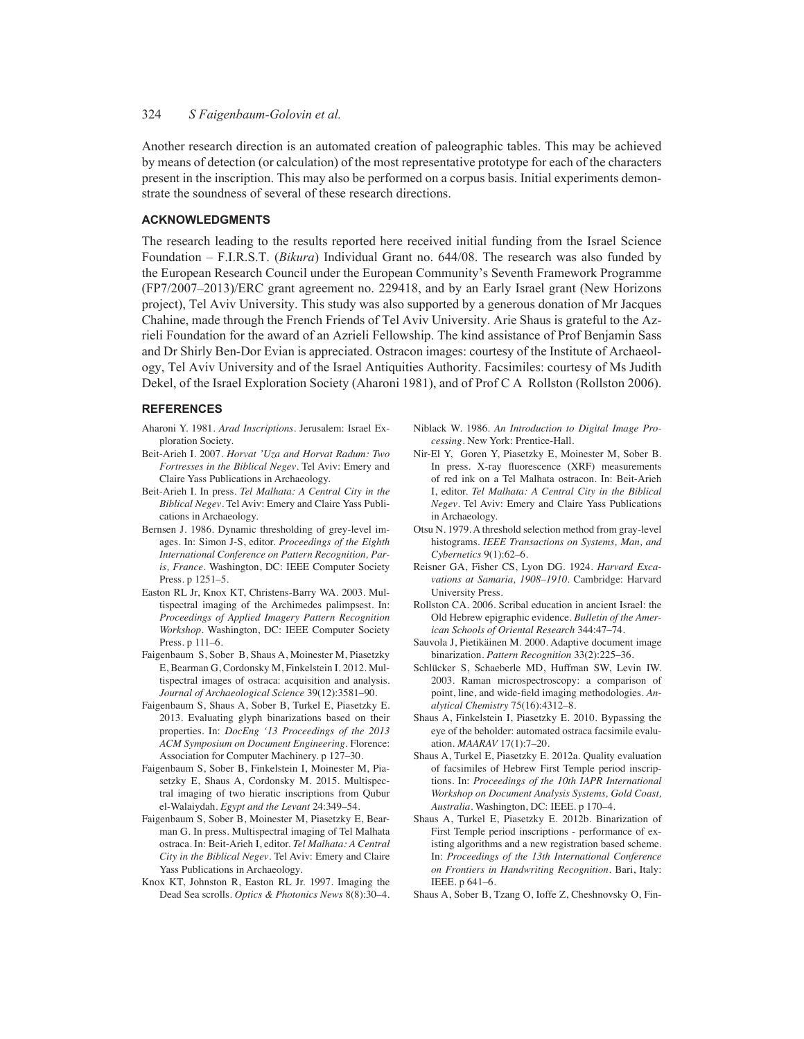Another research direction is an automated creation of paleographic tables. This may be achieved by means of detection (or calculation) of the most representative prototype for each of the characters present in the inscription. This may also be performed on a corpus basis. Initial experiments demonstrate the soundness of several of these research directions.

### **ACKNOWLEDGMENTS**

The research leading to the results reported here received initial funding from the Israel Science Foundation – F.I.R.S.T. (*Bikura*) Individual Grant no. 644/08. The research was also funded by the European Research Council under the European Community's Seventh Framework Programme (FP7/2007–2013)/ERC grant agreement no. 229418, and by an Early Israel grant (New Horizons project), Tel Aviv University. This study was also supported by a generous donation of Mr Jacques Chahine, made through the French Friends of Tel Aviv University. Arie Shaus is grateful to the Azrieli Foundation for the award of an Azrieli Fellowship. The kind assistance of Prof Benjamin Sass and Dr Shirly Ben-Dor Evian is appreciated. Ostracon images: courtesy of the Institute of Archaeology, Tel Aviv University and of the Israel Antiquities Authority. Facsimiles: courtesy of Ms Judith Dekel, of the Israel Exploration Society (Aharoni 1981), and of Prof C A Rollston (Rollston 2006).

#### **REFERENCES**

- Aharoni Y. 1981. *Arad Inscriptions*. Jerusalem: Israel Exploration Society.
- Beit-Arieh I. 2007. *Horvat 'Uza and Horvat Radum: Two Fortresses in the Biblical Negev*. Tel Aviv: Emery and Claire Yass Publications in Archaeology.
- Beit-Arieh I. In press. *Tel Malhata: A Central City in the Biblical Negev*. Tel Aviv: Emery and Claire Yass Publications in Archaeology.
- Bernsen J. 1986. Dynamic thresholding of grey-level images. In: Simon J-S, editor. *Proceedings of the Eighth International Conference on Pattern Recognition, Paris, France*. Washington, DC: IEEE Computer Society Press. p 1251–5.
- Easton RL Jr, Knox KT, Christens-Barry WA. 2003. Multispectral imaging of the Archimedes palimpsest. In: *Proceedings of Applied Imagery Pattern Recognition Workshop*. Washington, DC: IEEE Computer Society Press. p 111–6.
- Faigenbaum S, Sober B, Shaus A, Moinester M, Piasetzky E, Bearman G, Cordonsky M, Finkelstein I. 2012. Multispectral images of ostraca: acquisition and analysis. *Journal of Archaeological Science* 39(12):3581–90.
- Faigenbaum S, Shaus A, Sober B, Turkel E, Piasetzky E. 2013. Evaluating glyph binarizations based on their properties. In: *DocEng '13 Proceedings of the 2013 ACM Symposium on Document Engineering*. Florence: Association for Computer Machinery. p 127–30.
- Faigenbaum S, Sober B, Finkelstein I, Moinester M, Piasetzky E, Shaus A, Cordonsky M. 2015. Multispectral imaging of two hieratic inscriptions from Qubur el-Walaiydah. *Egypt and the Levant* 24:349–54.
- Faigenbaum S, Sober B, Moinester M, Piasetzky E, Bearman G. In press. Multispectral imaging of Tel Malhata ostraca. In: Beit-Arieh I, editor. *Tel Malhata: A Central City in the Biblical Negev*. Tel Aviv: Emery and Claire Yass Publications in Archaeology.
- Knox KT, Johnston R, Easton RL Jr. 1997. Imaging the Dead Sea scrolls. *Optics & Photonics News* 8(8):30–4.
- Niblack W. 1986. *An Introduction to Digital Image Processing*. New York: Prentice-Hall.
- Nir-El Y, Goren Y, Piasetzky E, Moinester M, Sober B. In press. X-ray fluorescence (XRF) measurements of red ink on a Tel Malhata ostracon. In: Beit-Arieh I, editor. *Tel Malhata: A Central City in the Biblical Negev*. Tel Aviv: Emery and Claire Yass Publications in Archaeology.
- Otsu N. 1979. A threshold selection method from gray-level histograms. *IEEE Transactions on Systems, Man, and Cybernetics* 9(1):62–6.
- Reisner GA, Fisher CS, Lyon DG. 1924. *Harvard Excavations at Samaria, 1908–1910*. Cambridge: Harvard University Press.
- Rollston CA. 2006. Scribal education in ancient Israel: the Old Hebrew epigraphic evidence. *Bulletin of the American Schools of Oriental Research* 344:47–74.
- Sauvola J, Pietikäinen M. 2000. Adaptive document image binarization. *Pattern Recognition* 33(2):225–36.
- Schlücker S, Schaeberle MD, Huffman SW, Levin IW. 2003. Raman microspectroscopy: a comparison of point, line, and wide-field imaging methodologies. *Analytical Chemistry* 75(16):4312–8.
- Shaus A, Finkelstein I, Piasetzky E. 2010. Bypassing the eye of the beholder: automated ostraca facsimile evaluation. *MAARAV* 17(1):7–20.
- Shaus A, Turkel E, Piasetzky E. 2012a. Quality evaluation of facsimiles of Hebrew First Temple period inscriptions. In: *Proceedings of the 10th IAPR International Workshop on Document Analysis Systems, Gold Coast, Australia*. Washington, DC: IEEE. p 170–4.
- Shaus A, Turkel E, Piasetzky E. 2012b. Binarization of First Temple period inscriptions - performance of existing algorithms and a new registration based scheme. In: *Proceedings of the 13th International Conference on Frontiers in Handwriting Recognition*. Bari, Italy: IEEE. p 641–6.
- Shaus A, Sober B, Tzang O, Ioffe Z, Cheshnovsky O, Fin-